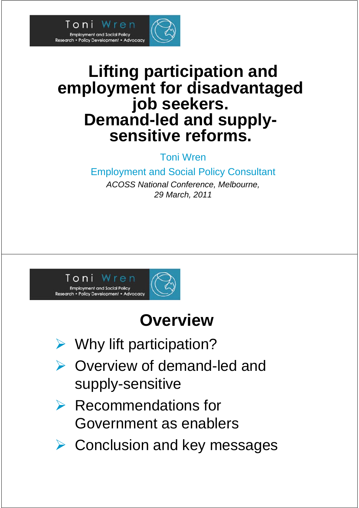

#### **Lifting participation and employment for disadvantaged job seekers. Demand-led and supplysensitive reforms.**

Toni Wren

Employment and Social Policy Consultant

*ACOSS National Conference, Melbourne, 29 March, 2011*



## **Overview**

- $\triangleright$  Why lift participation?
- ▶ Overview of demand-led and supply-sensitive
- $\triangleright$  Recommendations for Government as enablers
- **▶ Conclusion and key messages**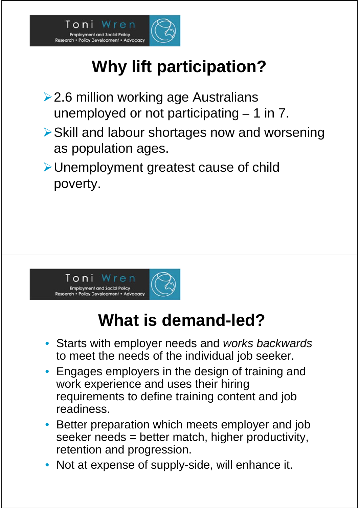

# **Why lift participation?**

- **≻2.6 million working age Australians** unemployed or not participating  $-1$  in 7.
- Skill and labour shortages now and worsening as population ages.
- Unemployment greatest cause of child poverty.



## **What is demand-led?**

- Starts with employer needs and *works backwards* to meet the needs of the individual job seeker.
- Engages employers in the design of training and work experience and uses their hiring requirements to define training content and job readiness.
- Better preparation which meets employer and job seeker needs = better match, higher productivity, retention and progression.
- Not at expense of supply-side, will enhance it.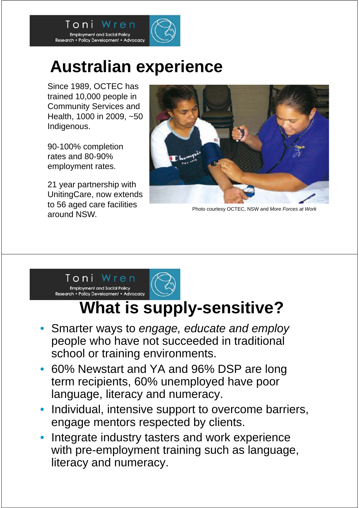

Since 1989, OCTEC has trained 10,000 people in Community Services and Health, 1000 in 2009, ~50 Indigenous.

Employment and Social Policy<br>Research • Policy Development • Advocacy

Toni

90-100% completion rates and 80-90% employment rates.

21 year partnership with UnitingCare, now extends to 56 aged care facilities around NSW.



Photo courtesy OCTEC, NSW and *More Forces at Work*



## **What is supply-sensitive?**

- Smarter ways to *engage, educate and employ* people who have not succeeded in traditional school or training environments.
- 60% Newstart and YA and 96% DSP are long term recipients, 60% unemployed have poor language, literacy and numeracy.
- Individual, intensive support to overcome barriers, engage mentors respected by clients.
- Integrate industry tasters and work experience with pre-employment training such as language, literacy and numeracy.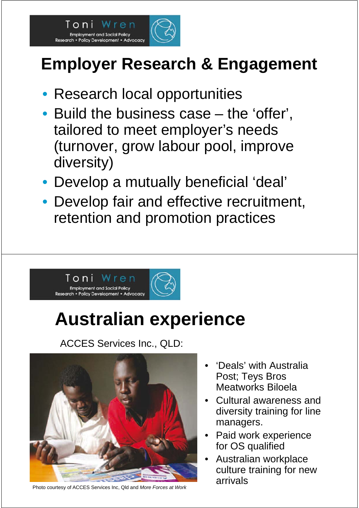

# **Employer Research & Engagement**

- Research local opportunities
- Build the business case the 'offer', tailored to meet employer's needs (turnover, grow labour pool, improve diversity)
- Develop a mutually beneficial 'deal'
- Develop fair and effective recruitment, retention and promotion practices



# **Australian experience**

ACCES Services Inc., QLD:



Photo courtesy of ACCES Services Inc, Qld and *More Forces at Work*

- 'Deals' with Australia Post; Teys Bros Meatworks Biloela
- Cultural awareness and diversity training for line managers.
- Paid work experience for OS qualified
- Australian workplace culture training for new arrivals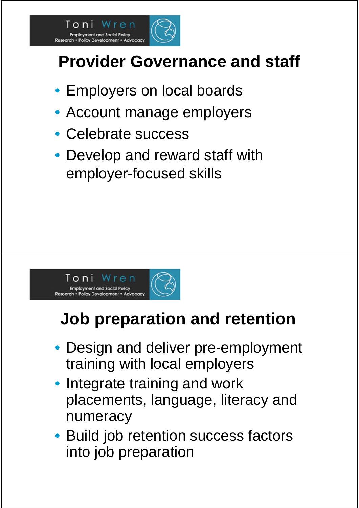

# **Provider Governance and staff**

- Employers on local boards
- Account manage employers
- Celebrate success
- Develop and reward staff with employer-focused skills



# **Job preparation and retention**

- Design and deliver pre-employment training with local employers
- Integrate training and work placements, language, literacy and numeracy
- Build job retention success factors into job preparation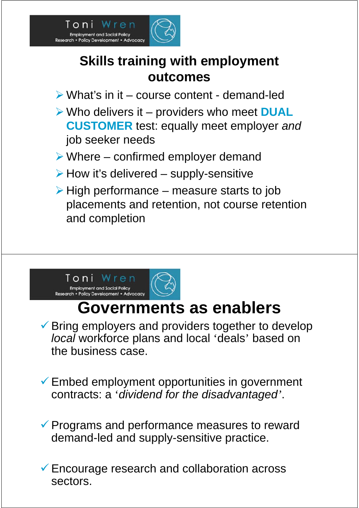

#### **Skills training with employment outcomes**

- What's in it course content demand-led
- Who delivers it providers who meet **DUAL CUSTOMER** test: equally meet employer *and* job seeker needs
- $\triangleright$  Where confirmed employer demand
- $\triangleright$  How it's delivered supply-sensitive
- $\triangleright$  High performance measure starts to job placements and retention, not course retention and completion



### **Governments as enablers**

 $\checkmark$  Bring employers and providers together to develop *local* workforce plans and local 'deals' based on the business case.

 $\checkmark$  Embed employment opportunities in government contracts: a '*dividend for the disadvantaged'*.

 $\checkmark$  Programs and performance measures to reward demand-led and supply-sensitive practice.

 Encourage research and collaboration across sectors.